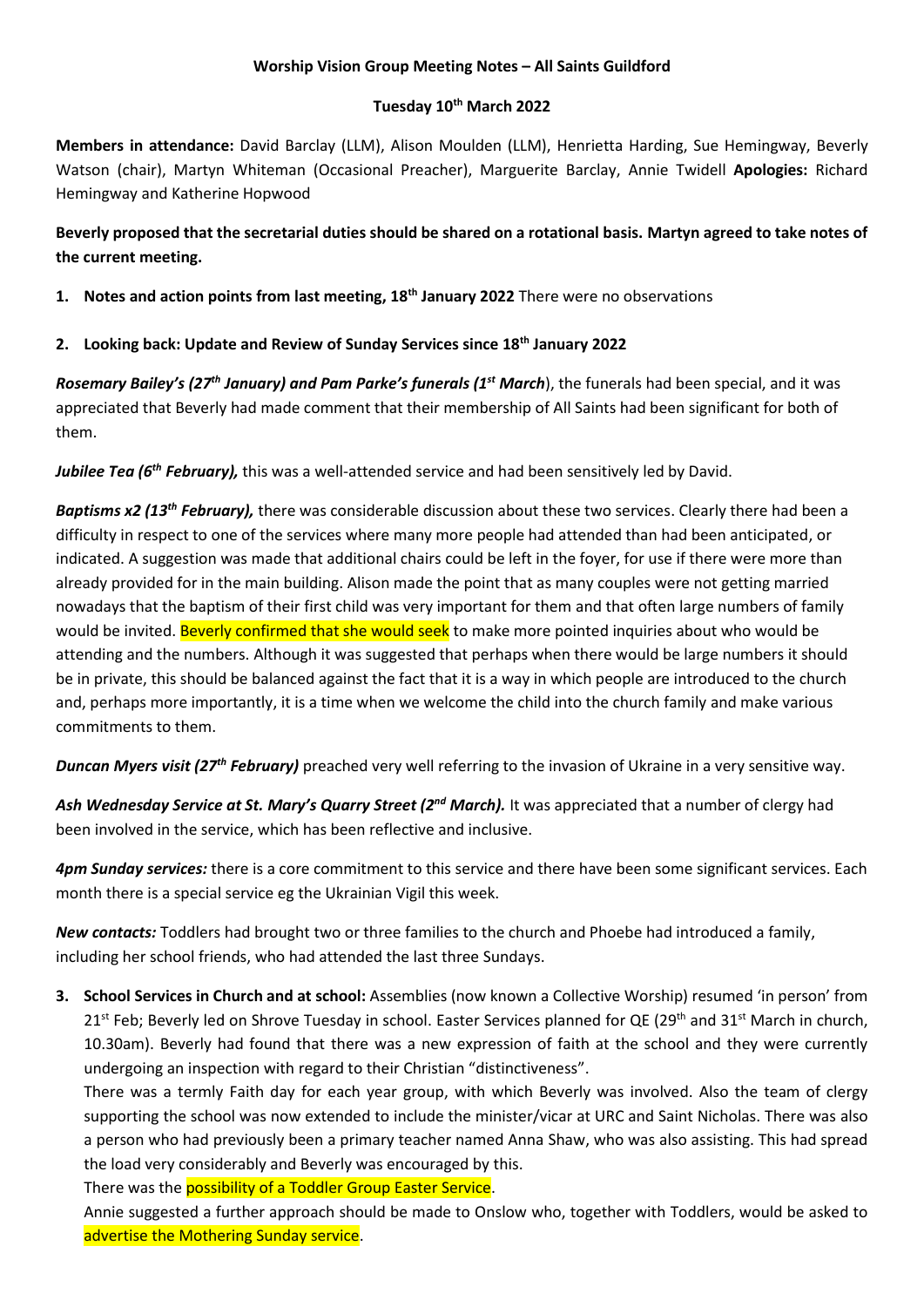## **Worship Vision Group Meeting Notes – All Saints Guildford**

### **Tuesday 10th March 2022**

**Members in attendance:** David Barclay (LLM), Alison Moulden (LLM), Henrietta Harding, Sue Hemingway, Beverly Watson (chair), Martyn Whiteman (Occasional Preacher), Marguerite Barclay, Annie Twidell **Apologies:** Richard Hemingway and Katherine Hopwood

**Beverly proposed that the secretarial duties should be shared on a rotational basis. Martyn agreed to take notes of the current meeting.**

**1. Notes and action points from last meeting, 18th January 2022** There were no observations

**2. Looking back: Update and Review of Sunday Services since 18th January 2022**

*Rosemary Bailey's (27th January) and Pam Parke's funerals (1st March*), the funerals had been special, and it was appreciated that Beverly had made comment that their membership of All Saints had been significant for both of them.

*Jubilee Tea (6th February),* this was a well-attended service and had been sensitively led by David.

*Baptisms x2 (13th February),* there was considerable discussion about these two services. Clearly there had been a difficulty in respect to one of the services where many more people had attended than had been anticipated, or indicated. A suggestion was made that additional chairs could be left in the foyer, for use if there were more than already provided for in the main building. Alison made the point that as many couples were not getting married nowadays that the baptism of their first child was very important for them and that often large numbers of family would be invited. Beverly confirmed that she would seek to make more pointed inquiries about who would be attending and the numbers. Although it was suggested that perhaps when there would be large numbers it should be in private, this should be balanced against the fact that it is a way in which people are introduced to the church and, perhaps more importantly, it is a time when we welcome the child into the church family and make various commitments to them.

*Duncan Myers visit (27th February)* preached very well referring to the invasion of Ukraine in a very sensitive way.

Ash Wednesday Service at St. Mary's Quarry Street (2<sup>nd</sup> March). It was appreciated that a number of clergy had been involved in the service, which has been reflective and inclusive.

*4pm Sunday services:* there is a core commitment to this service and there have been some significant services. Each month there is a special service eg the Ukrainian Vigil this week.

*New contacts:* Toddlers had brought two or three families to the church and Phoebe had introduced a family, including her school friends, who had attended the last three Sundays.

**3. School Services in Church and at school:** Assemblies (now known a Collective Worship) resumed 'in person' from  $21<sup>st</sup>$  Feb; Beverly led on Shrove Tuesday in school. Easter Services planned for QE (29<sup>th</sup> and 31<sup>st</sup> March in church, 10.30am). Beverly had found that there was a new expression of faith at the school and they were currently undergoing an inspection with regard to their Christian "distinctiveness".

There was a termly Faith day for each year group, with which Beverly was involved. Also the team of clergy supporting the school was now extended to include the minister/vicar at URC and Saint Nicholas. There was also a person who had previously been a primary teacher named Anna Shaw, who was also assisting. This had spread the load very considerably and Beverly was encouraged by this.

There was the **possibility of a Toddler Group Easter Service**.

Annie suggested a further approach should be made to Onslow who, together with Toddlers, would be asked to advertise the Mothering Sunday service.